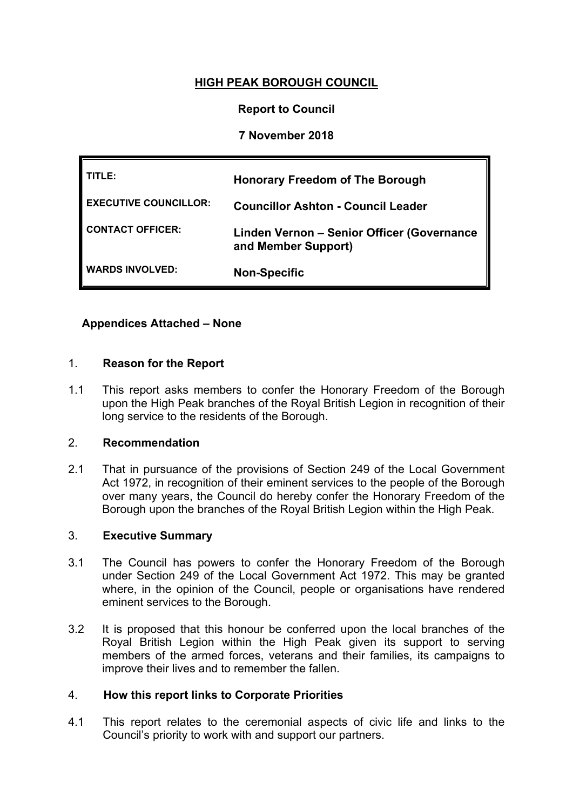# **HIGH PEAK BOROUGH COUNCIL**

# **Report to Council**

# **7 November 2018**

| TITLE:                       | <b>Honorary Freedom of The Borough</b>                            |
|------------------------------|-------------------------------------------------------------------|
| <b>EXECUTIVE COUNCILLOR:</b> | <b>Councillor Ashton - Council Leader</b>                         |
| CONTACT OFFICER:             | Linden Vernon - Senior Officer (Governance<br>and Member Support) |
| <b>WARDS INVOLVED:</b>       | <b>Non-Specific</b>                                               |

# **Appendices Attached – None**

#### 1. **Reason for the Report**

1.1 This report asks members to confer the Honorary Freedom of the Borough upon the High Peak branches of the Royal British Legion in recognition of their long service to the residents of the Borough.

#### 2. **Recommendation**

2.1 That in pursuance of the provisions of Section 249 of the Local Government Act 1972, in recognition of their eminent services to the people of the Borough over many years, the Council do hereby confer the Honorary Freedom of the Borough upon the branches of the Royal British Legion within the High Peak.

#### 3. **Executive Summary**

- 3.1 The Council has powers to confer the Honorary Freedom of the Borough under Section 249 of the Local Government Act 1972. This may be granted where, in the opinion of the Council, people or organisations have rendered eminent services to the Borough.
- 3.2 It is proposed that this honour be conferred upon the local branches of the Royal British Legion within the High Peak given its support to serving members of the armed forces, veterans and their families, its campaigns to improve their lives and to remember the fallen.

# 4. **How this report links to Corporate Priorities**

4.1 This report relates to the ceremonial aspects of civic life and links to the Council's priority to work with and support our partners.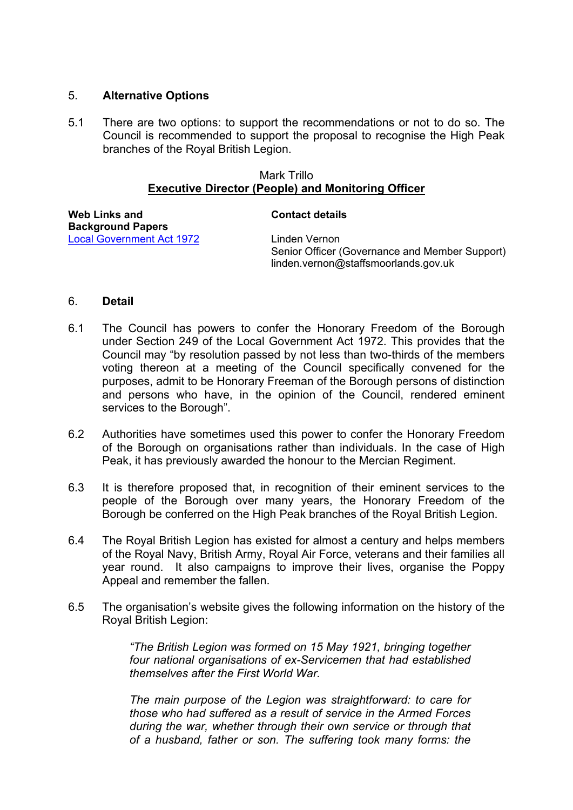# 5. **Alternative Options**

5.1 There are two options: to support the recommendations or not to do so. The Council is recommended to support the proposal to recognise the High Peak branches of the Royal British Legion.

### Mark Trillo **Executive Director (People) and Monitoring Officer**

| Web Links and                    | <b>Contact details</b>                                                                                  |
|----------------------------------|---------------------------------------------------------------------------------------------------------|
| <b>Background Papers</b>         |                                                                                                         |
| <b>Local Government Act 1972</b> | Linden Vernon<br>Senior Officer (Governance and Member Support)<br>linden.vernon@staffsmoorlands.gov.uk |

# 6. **Detail**

- 6.1 The Council has powers to confer the Honorary Freedom of the Borough under Section 249 of the Local Government Act 1972. This provides that the Council may "by resolution passed by not less than two-thirds of the members voting thereon at a meeting of the Council specifically convened for the purposes, admit to be Honorary Freeman of the Borough persons of distinction and persons who have, in the opinion of the Council, rendered eminent services to the Borough".
- 6.2 Authorities have sometimes used this power to confer the Honorary Freedom of the Borough on organisations rather than individuals. In the case of High Peak, it has previously awarded the honour to the Mercian Regiment.
- 6.3 It is therefore proposed that, in recognition of their eminent services to the people of the Borough over many years, the Honorary Freedom of the Borough be conferred on the High Peak branches of the Royal British Legion.
- 6.4 The Royal British Legion has existed for almost a century and helps members of the Royal Navy, British Army, Royal Air Force, veterans and their families all year round. It also campaigns to improve their lives, organise the Poppy Appeal and remember the fallen.
- 6.5 The organisation's website gives the following information on the history of the Royal British Legion:

*"The British Legion was formed on 15 May 1921, bringing together four national organisations of ex-Servicemen that had established themselves after the First World War.*

*The main purpose of the Legion was straightforward: to care for those who had suffered as a result of service in the Armed Forces during the war, whether through their own service or through that of a husband, father or son. The suffering took many forms: the*